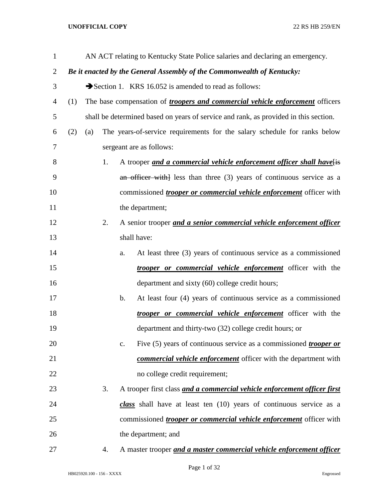| $\mathbf{1}$   |     |                                                                        |    |    | AN ACT relating to Kentucky State Police salaries and declaring an emergency.        |  |
|----------------|-----|------------------------------------------------------------------------|----|----|--------------------------------------------------------------------------------------|--|
| $\overline{2}$ |     | Be it enacted by the General Assembly of the Commonwealth of Kentucky: |    |    |                                                                                      |  |
| 3              |     |                                                                        |    |    | Section 1. KRS 16.052 is amended to read as follows:                                 |  |
| 4              | (1) |                                                                        |    |    | The base compensation of <i>troopers and commercial vehicle enforcement</i> officers |  |
| 5              |     |                                                                        |    |    | shall be determined based on years of service and rank, as provided in this section. |  |
| 6              | (2) | (a)                                                                    |    |    | The years-of-service requirements for the salary schedule for ranks below            |  |
| 7              |     |                                                                        |    |    | sergeant are as follows:                                                             |  |
| 8              |     |                                                                        | 1. |    | A trooper and a commercial vehicle enforcement officer shall have [is                |  |
| 9              |     |                                                                        |    |    | an officer with less than three $(3)$ years of continuous service as a               |  |
| 10             |     |                                                                        |    |    | commissioned <i>trooper or commercial vehicle enforcement</i> officer with           |  |
| 11             |     |                                                                        |    |    | the department;                                                                      |  |
| 12             |     |                                                                        | 2. |    | A senior trooper and a senior commercial vehicle enforcement officer                 |  |
| 13             |     |                                                                        |    |    | shall have:                                                                          |  |
| 14             |     |                                                                        |    | a. | At least three (3) years of continuous service as a commissioned                     |  |
| 15             |     |                                                                        |    |    | <i>trooper or commercial vehicle enforcement</i> officer with the                    |  |
| 16             |     |                                                                        |    |    | department and sixty (60) college credit hours;                                      |  |
| 17             |     |                                                                        |    | b. | At least four (4) years of continuous service as a commissioned                      |  |
| 18             |     |                                                                        |    |    | <i>trooper or commercial vehicle enforcement</i> officer with the                    |  |
| 19             |     |                                                                        |    |    | department and thirty-two (32) college credit hours; or                              |  |
| 20             |     |                                                                        |    | c. | Five (5) years of continuous service as a commissioned <i>trooper or</i>             |  |
| 21             |     |                                                                        |    |    | commercial vehicle enforcement officer with the department with                      |  |
| 22             |     |                                                                        |    |    | no college credit requirement;                                                       |  |
| 23             |     |                                                                        | 3. |    | A trooper first class and a commercial vehicle enforcement officer first             |  |
| 24             |     |                                                                        |    |    | class shall have at least ten $(10)$ years of continuous service as a                |  |
| 25             |     |                                                                        |    |    | commissioned <i>trooper or commercial vehicle enforcement</i> officer with           |  |
| 26             |     |                                                                        |    |    | the department; and                                                                  |  |
| 27             |     |                                                                        | 4. |    | A master trooper and a master commercial vehicle enforcement officer                 |  |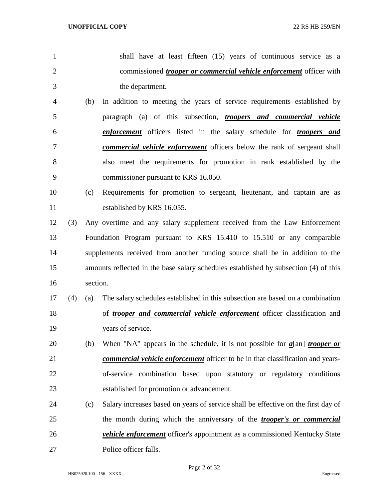- shall have at least fifteen (15) years of continuous service as a commissioned *trooper or commercial vehicle enforcement* officer with the department. (b) In addition to meeting the years of service requirements established by
- paragraph (a) of this subsection, *troopers and commercial vehicle enforcement* officers listed in the salary schedule for *troopers and commercial vehicle enforcement* officers below the rank of sergeant shall also meet the requirements for promotion in rank established by the commissioner pursuant to KRS 16.050.
- (c) Requirements for promotion to sergeant, lieutenant, and captain are as established by KRS 16.055.
- (3) Any overtime and any salary supplement received from the Law Enforcement Foundation Program pursuant to KRS 15.410 to 15.510 or any comparable supplements received from another funding source shall be in addition to the amounts reflected in the base salary schedules established by subsection (4) of this section.
- (4) (a) The salary schedules established in this subsection are based on a combination of *trooper and commercial vehicle enforcement* officer classification and years of service.
- (b) When "NA" appears in the schedule, it is not possible for *a*[an] *trooper or commercial vehicle enforcement* officer to be in that classification and years- of-service combination based upon statutory or regulatory conditions established for promotion or advancement.
- (c) Salary increases based on years of service shall be effective on the first day of the month during which the anniversary of the *trooper's or commercial vehicle enforcement* officer's appointment as a commissioned Kentucky State Police officer falls.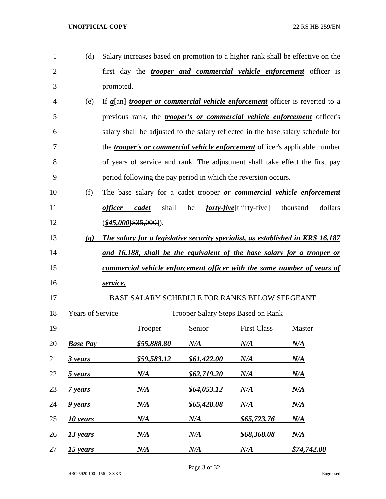| $\mathbf{1}$   | (d)                         |                          |                    |                                           |                                                                | Salary increases based on promotion to a higher rank shall be effective on the        |
|----------------|-----------------------------|--------------------------|--------------------|-------------------------------------------|----------------------------------------------------------------|---------------------------------------------------------------------------------------|
| $\overline{2}$ |                             |                          |                    |                                           |                                                                | first day the <i>trooper and commercial vehicle enforcement</i> officer is            |
| 3              |                             | promoted.                |                    |                                           |                                                                |                                                                                       |
| 4              | (e)                         |                          |                    |                                           |                                                                | If $a$ [an] <i>trooper or commercial vehicle enforcement</i> officer is reverted to a |
| 5              |                             |                          |                    |                                           |                                                                | previous rank, the <i>trooper's or commercial vehicle enforcement</i> officer's       |
| 6              |                             |                          |                    |                                           |                                                                | salary shall be adjusted to the salary reflected in the base salary schedule for      |
| 7              |                             |                          |                    |                                           |                                                                | the <i>trooper's or commercial vehicle enforcement</i> officer's applicable number    |
| 8              |                             |                          |                    |                                           |                                                                | of years of service and rank. The adjustment shall take effect the first pay          |
| 9              |                             |                          |                    |                                           | period following the pay period in which the reversion occurs. |                                                                                       |
| 10             | (f)                         |                          |                    |                                           |                                                                | The base salary for a cadet trooper or commercial vehicle enforcement                 |
| 11             |                             | <i>officer</i>           | cadet<br>shall     | be                                        | <i>forty-five</i> [thirty-five] thousand                       | dollars                                                                               |
| 12             |                             | $(\$45,000$ [\$35,000]). |                    |                                           |                                                                |                                                                                       |
| 13             | $\left( \mathbf{g} \right)$ |                          |                    |                                           |                                                                | The salary for a legislative security specialist, as established in KRS 16.187        |
| 14             |                             |                          |                    |                                           |                                                                | and 16.188, shall be the equivalent of the base salary for a trooper or               |
| 15             |                             |                          |                    |                                           |                                                                | commercial vehicle enforcement officer with the same number of years of               |
| 16             |                             | service.                 |                    |                                           |                                                                |                                                                                       |
| 17             |                             |                          |                    |                                           | BASE SALARY SCHEDULE FOR RANKS BELOW SERGEANT                  |                                                                                       |
| 18             | <b>Years of Service</b>     |                          |                    | <b>Trooper Salary Steps Based on Rank</b> |                                                                |                                                                                       |
| 19             |                             |                          | Trooper            | Senior                                    | <b>First Class</b>                                             | Master                                                                                |
| 20             | <b>Base Pay</b>             |                          | <u>\$55,888.80</u> | $N\!/\!A$                                 | N/A                                                            | $N\!/\!A$                                                                             |
| 21             | 3 years                     |                          | \$59,583.12        | \$61,422.00                               | N/A                                                            | $N\!/\!A$                                                                             |
| 22             | 5 years                     |                          | $N\!/\!A$          | \$62,719.20                               | N/A                                                            | $N\!/\!A$                                                                             |
| 23             | 7 years                     |                          | N/A                | \$64,053.12                               | N/A                                                            | $N\!/\!A$                                                                             |
| 24             | 9 years                     |                          | N/A                | \$65,428.08                               | N/A                                                            | $N\!/\!A$                                                                             |
| 25             | 10 years                    |                          | N/A                | $N\!/\!A$                                 | <u>\$65,723.76</u>                                             | $N\!/\!A$                                                                             |
| 26             | <u>13 years</u>             |                          | N/A                | N/A                                       | <u>\$68,368.08</u>                                             | $N\!/\!A$                                                                             |
| 27             | 15 years                    |                          | N/A                | N/A                                       | N/A                                                            | \$74,742.00                                                                           |

Page 3 of 32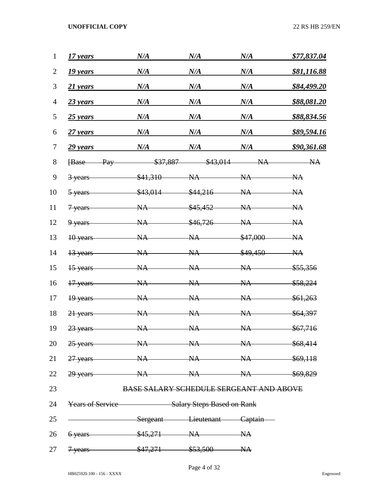| $\mathbf{1}$   | 17 years                                           | N/A                                            | N/A       | N/A       | \$77,837.04 |  |
|----------------|----------------------------------------------------|------------------------------------------------|-----------|-----------|-------------|--|
| $\overline{2}$ | 19 years                                           | N/A                                            | $N\!/\!A$ | N/A       | \$81,116.88 |  |
| 3              | 21 years                                           | N/A                                            | N/A       | N/A       | \$84,499.20 |  |
| $\overline{4}$ | $23$ years                                         | N/A                                            | N/A       | N/A       | \$88,081.20 |  |
| 5              | $25$ years                                         | N/A                                            | N/A       | N/A       | \$88,834.56 |  |
| 6              | $27$ years                                         | N/A                                            | N/A       | N/A       | \$89,594.16 |  |
| 7              | 29 years                                           | N/A                                            | N/A       | N/A       | \$90,361.68 |  |
| 8              | Pay<br><b>Base</b>                                 | \$37,887                                       | \$43,014  | NA        | NA          |  |
| 9              | 3 years                                            | \$41,310                                       | NA        | NA        | NA          |  |
| 10             | 5-years                                            | \$43,014                                       | \$44,216  | NA        | NA          |  |
| 11             | 7 years                                            | NA                                             | \$45,452  | NA        | NA          |  |
| 12             | 9 years                                            | NA                                             | \$46,726  | <b>NA</b> | NA          |  |
| 13             | 10 years                                           | NA                                             | NA        | \$47,000  | NA          |  |
| 14             | 13 years                                           | NA                                             | NA        | \$49,450  | NA          |  |
| 15             | 15 years                                           | NA                                             | NA        | <b>NA</b> | \$55,356    |  |
| 16             | 17 years                                           | NA                                             | NA        | NA        | \$58,224    |  |
| 17             | 19 years                                           | NA                                             | NA        | NA        | \$61,263    |  |
| 18             | 21 years                                           | NA                                             | NA        | NA        | \$64,397    |  |
| 19             | 23 years                                           | NA                                             | NA        | NA        | \$67,716    |  |
|                | 20 25 years NA NA NA NA \$68,414                   |                                                |           |           |             |  |
|                | 21 27 years NA NA NA NA \$69,118                   |                                                |           |           |             |  |
|                | 22 29 years – NA NA NA NA \$69,829                 |                                                |           |           |             |  |
| 23             |                                                    | <b>BASE SALARY SCHEDULE SERGEANT AND ABOVE</b> |           |           |             |  |
| 24             | <b>Years of Service</b> Salary Steps Based on Rank |                                                |           |           |             |  |
| 25             | Sergeant Lieutenant Captain                        |                                                |           |           |             |  |
|                | 26 6 years \$45,271 NA NA                          |                                                |           |           |             |  |
| 27             | 7 years \$47,271 \$53,500 NA                       |                                                |           |           |             |  |

Page 4 of 32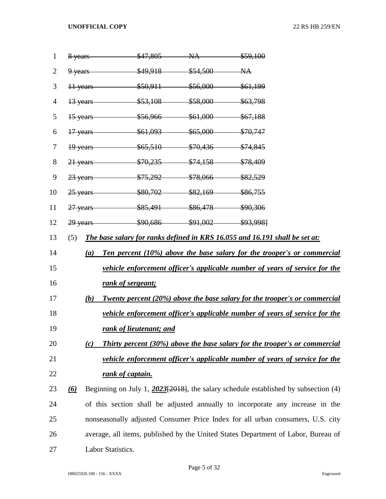| $\mathbf{1}$   |          | 8 years<br>$$47,805$ NA                                                     | \$59,100                                                                              |
|----------------|----------|-----------------------------------------------------------------------------|---------------------------------------------------------------------------------------|
| $\overline{2}$ |          |                                                                             |                                                                                       |
| 3              |          | 11 years \$50,911 \$56,000 \$61,199                                         |                                                                                       |
| 4              |          | 13 years \$53,108 \$58,000 \$63,798                                         |                                                                                       |
| 5              |          | 15 years \$56,966 \$61,000 \$67,188                                         |                                                                                       |
| 6              |          | 17 years \$61,093 \$65,000 \$70,747                                         |                                                                                       |
| 7              |          | 19 years \$65,510 \$70,436 \$74,845                                         |                                                                                       |
| 8              |          | 21 years \$70,235 \$74,158 \$78,409                                         |                                                                                       |
| 9              |          | 23 years \$75,292 \$78,066 \$82,529                                         |                                                                                       |
| 10             |          | 25 years \$80,702 \$82,169 \$86,755                                         |                                                                                       |
| 11             |          | 27 years \$85,491 \$86,478 \$90,306                                         |                                                                                       |
| 12             |          | 29 years \$90,686 \$91,002 \$93,998]                                        |                                                                                       |
| 13             | (5)      | The base salary for ranks defined in KRS 16.055 and 16.191 shall be set at: |                                                                                       |
| 14             | (a)      |                                                                             | Ten percent (10%) above the base salary for the trooper's or commercial               |
| 15             |          |                                                                             | <u>vehicle enforcement officer's applicable number of years of service for the</u>    |
| 16             |          | rank of sergeant;                                                           |                                                                                       |
| 17             | (b)      |                                                                             | <b>Twenty percent (20%) above the base salary for the trooper's or commercial</b>     |
| 18             |          |                                                                             | <u>vehicle enforcement officer's applicable number of years of service for the</u>    |
| 19             |          | rank of lieutenant; and                                                     |                                                                                       |
| 20             | (c)      |                                                                             | <b>Thirty percent (30%) above the base salary for the trooper's or commercial</b>     |
| 21             |          |                                                                             | vehicle enforcement officer's applicable number of years of service for the           |
| 22             |          | rank of captain.                                                            |                                                                                       |
| 23             | $\omega$ |                                                                             | Beginning on July 1, $2023[2018]$ , the salary schedule established by subsection (4) |
| 24             |          |                                                                             | of this section shall be adjusted annually to incorporate any increase in the         |
| 25             |          |                                                                             | nonseasonally adjusted Consumer Price Index for all urban consumers, U.S. city        |
| 26             |          |                                                                             | average, all items, published by the United States Department of Labor, Bureau of     |
| 27             |          | Labor Statistics.                                                           |                                                                                       |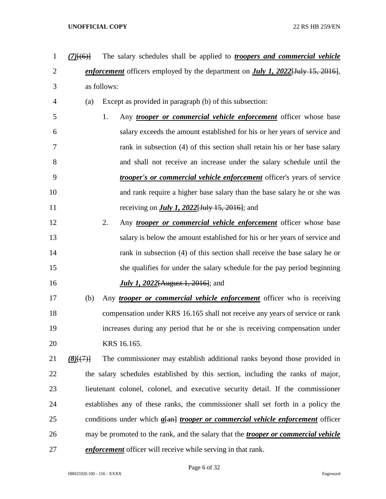- *(7)*[(6)] The salary schedules shall be applied to *troopers and commercial vehicle enforcement* officers employed by the department on *July 1, 2022*[July 15, 2016], as follows:
- (a) Except as provided in paragraph (b) of this subsection:
- 1. Any *trooper or commercial vehicle enforcement* officer whose base salary exceeds the amount established for his or her years of service and rank in subsection (4) of this section shall retain his or her base salary and shall not receive an increase under the salary schedule until the *trooper's or commercial vehicle enforcement* officer's years of service and rank require a higher base salary than the base salary he or she was receiving on *July 1, 2022*[July 15, 2016]; and
- 2. Any *trooper or commercial vehicle enforcement* officer whose base salary is below the amount established for his or her years of service and 14 rank in subsection (4) of this section shall receive the base salary he or she qualifies for under the salary schedule for the pay period beginning *July 1, 2022*[August 1, 2016]; and
- (b) Any *trooper or commercial vehicle enforcement* officer who is receiving compensation under KRS 16.165 shall not receive any years of service or rank increases during any period that he or she is receiving compensation under KRS 16.165.
- *(8)*[(7)] The commissioner may establish additional ranks beyond those provided in the salary schedules established by this section, including the ranks of major, lieutenant colonel, colonel, and executive security detail. If the commissioner establishes any of these ranks, the commissioner shall set forth in a policy the conditions under which *a*[an] *trooper or commercial vehicle enforcement* officer may be promoted to the rank, and the salary that the *trooper or commercial vehicle enforcement* officer will receive while serving in that rank.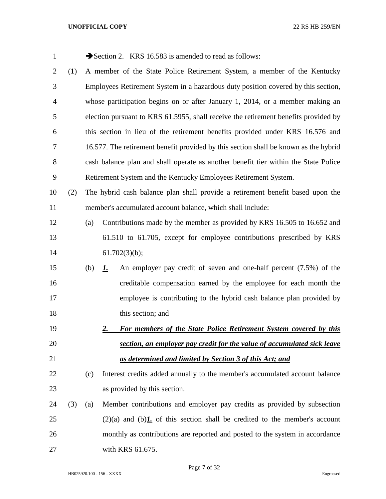| $\mathbf{1}$   |     |     | Section 2. KRS 16.583 is amended to read as follows:                                 |
|----------------|-----|-----|--------------------------------------------------------------------------------------|
| $\overline{2}$ | (1) |     | A member of the State Police Retirement System, a member of the Kentucky             |
| 3              |     |     | Employees Retirement System in a hazardous duty position covered by this section,    |
| 4              |     |     | whose participation begins on or after January 1, 2014, or a member making an        |
| 5              |     |     | election pursuant to KRS 61.5955, shall receive the retirement benefits provided by  |
| 6              |     |     | this section in lieu of the retirement benefits provided under KRS 16.576 and        |
| 7              |     |     | 16.577. The retirement benefit provided by this section shall be known as the hybrid |
| 8              |     |     | cash balance plan and shall operate as another benefit tier within the State Police  |
| 9              |     |     | Retirement System and the Kentucky Employees Retirement System.                      |
| 10             | (2) |     | The hybrid cash balance plan shall provide a retirement benefit based upon the       |
| 11             |     |     | member's accumulated account balance, which shall include:                           |
| 12             |     | (a) | Contributions made by the member as provided by KRS 16.505 to 16.652 and             |
| 13             |     |     | 61.510 to 61.705, except for employee contributions prescribed by KRS                |
| 14             |     |     | 61.702(3)(b);                                                                        |
| 15             |     | (b) | An employer pay credit of seven and one-half percent (7.5%) of the<br>1.             |
| 16             |     |     | creditable compensation earned by the employee for each month the                    |
| 17             |     |     | employee is contributing to the hybrid cash balance plan provided by                 |
| 18             |     |     | this section; and                                                                    |
| 19             |     |     | For members of the State Police Retirement System covered by this<br>2.              |
| 20             |     |     | section, an employer pay credit for the value of accumulated sick leave              |
| 21             |     |     | as determined and limited by Section 3 of this Act; and                              |
| 22             |     | (c) | Interest credits added annually to the member's accumulated account balance          |
| 23             |     |     | as provided by this section.                                                         |
| 24             | (3) | (a) | Member contributions and employer pay credits as provided by subsection              |
| 25             |     |     | $(2)(a)$ and $(b)$ . of this section shall be credited to the member's account       |
| 26             |     |     | monthly as contributions are reported and posted to the system in accordance         |
| 27             |     |     | with KRS 61.675.                                                                     |

Page 7 of 32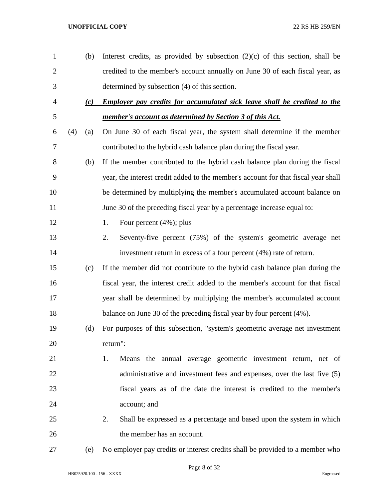| $\mathbf{1}$   |     | (b) | Interest credits, as provided by subsection $(2)(c)$ of this section, shall be     |
|----------------|-----|-----|------------------------------------------------------------------------------------|
| $\overline{2}$ |     |     | credited to the member's account annually on June 30 of each fiscal year, as       |
| 3              |     |     | determined by subsection (4) of this section.                                      |
| $\overline{4}$ |     | (c) | <b>Employer pay credits for accumulated sick leave shall be credited to the</b>    |
| 5              |     |     | member's account as determined by Section 3 of this Act.                           |
| 6              | (4) | (a) | On June 30 of each fiscal year, the system shall determine if the member           |
| 7              |     |     | contributed to the hybrid cash balance plan during the fiscal year.                |
| 8              |     | (b) | If the member contributed to the hybrid cash balance plan during the fiscal        |
| 9              |     |     | year, the interest credit added to the member's account for that fiscal year shall |
| 10             |     |     | be determined by multiplying the member's accumulated account balance on           |
| 11             |     |     | June 30 of the preceding fiscal year by a percentage increase equal to:            |
| 12             |     |     | Four percent $(4\%)$ ; plus<br>1.                                                  |
| 13             |     |     | Seventy-five percent (75%) of the system's geometric average net<br>2.             |
| 14             |     |     | investment return in excess of a four percent (4%) rate of return.                 |
| 15             |     | (c) | If the member did not contribute to the hybrid cash balance plan during the        |
| 16             |     |     | fiscal year, the interest credit added to the member's account for that fiscal     |
| 17             |     |     | year shall be determined by multiplying the member's accumulated account           |
| 18             |     |     | balance on June 30 of the preceding fiscal year by four percent (4%).              |
| 19             |     | (d) | For purposes of this subsection, "system's geometric average net investment        |
| 20             |     |     | return":                                                                           |
| 21             |     |     | Means the annual average geometric investment return, net of<br>1.                 |
| 22             |     |     | administrative and investment fees and expenses, over the last five (5)            |
| 23             |     |     | fiscal years as of the date the interest is credited to the member's               |
| 24             |     |     | account; and                                                                       |
| 25             |     |     | Shall be expressed as a percentage and based upon the system in which<br>2.        |
| 26             |     |     | the member has an account.                                                         |
| $27\,$         |     | (e) | No employer pay credits or interest credits shall be provided to a member who      |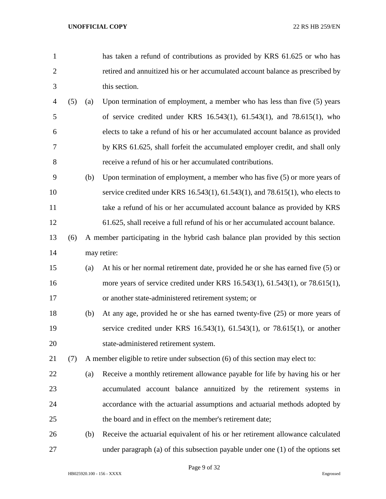- has taken a refund of contributions as provided by KRS 61.625 or who has retired and annuitized his or her accumulated account balance as prescribed by this section.
- (5) (a) Upon termination of employment, a member who has less than five (5) years of service credited under KRS 16.543(1), 61.543(1), and 78.615(1), who elects to take a refund of his or her accumulated account balance as provided by KRS 61.625, shall forfeit the accumulated employer credit, and shall only receive a refund of his or her accumulated contributions.
- (b) Upon termination of employment, a member who has five (5) or more years of service credited under KRS 16.543(1), 61.543(1), and 78.615(1), who elects to take a refund of his or her accumulated account balance as provided by KRS 61.625, shall receive a full refund of his or her accumulated account balance.
- (6) A member participating in the hybrid cash balance plan provided by this section may retire:
- (a) At his or her normal retirement date, provided he or she has earned five (5) or more years of service credited under KRS 16.543(1), 61.543(1), or 78.615(1), or another state-administered retirement system; or
- (b) At any age, provided he or she has earned twenty-five (25) or more years of service credited under KRS 16.543(1), 61.543(1), or 78.615(1), or another state-administered retirement system.
- (7) A member eligible to retire under subsection (6) of this section may elect to:
- (a) Receive a monthly retirement allowance payable for life by having his or her accumulated account balance annuitized by the retirement systems in accordance with the actuarial assumptions and actuarial methods adopted by the board and in effect on the member's retirement date;
- (b) Receive the actuarial equivalent of his or her retirement allowance calculated under paragraph (a) of this subsection payable under one (1) of the options set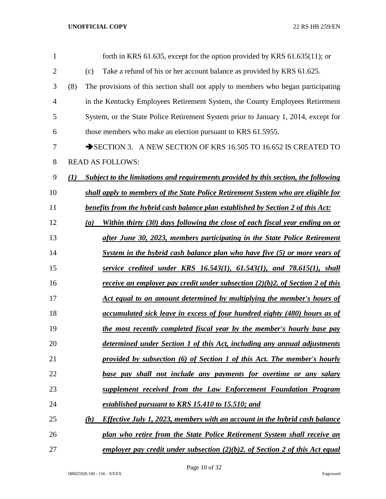| 1              |     | forth in KRS $61.635$ , except for the option provided by KRS $61.635(11)$ ; or          |
|----------------|-----|------------------------------------------------------------------------------------------|
| $\overline{2}$ |     | Take a refund of his or her account balance as provided by KRS 61.625.<br>(c)            |
| 3              | (8) | The provisions of this section shall not apply to members who began participating        |
| $\overline{4}$ |     | in the Kentucky Employees Retirement System, the County Employees Retirement             |
| 5              |     | System, or the State Police Retirement System prior to January 1, 2014, except for       |
| 6              |     | those members who make an election pursuant to KRS 61.5955.                              |
| 7              |     | SECTION 3. A NEW SECTION OF KRS 16.505 TO 16.652 IS CREATED TO                           |
| 8              |     | <b>READ AS FOLLOWS:</b>                                                                  |
| 9              | (I) | Subject to the limitations and requirements provided by this section, the following      |
| 10             |     | shall apply to members of the State Police Retirement System who are eligible for        |
| 11             |     | benefits from the hybrid cash balance plan established by Section 2 of this Act:         |
| 12             |     | Within thirty (30) days following the close of each fiscal year ending on or<br>(a)      |
| 13             |     | after June 30, 2023, members participating in the State Police Retirement                |
| 14             |     | System in the hybrid cash balance plan who have five (5) or more years of                |
| 15             |     | service credited under KRS $16.543(1)$ , $61.543(1)$ , and $78.615(1)$ , shall           |
| 16             |     | receive an employer pay credit under subsection $(2)(b)2$ . of Section 2 of this         |
| 17             |     | Act equal to an amount determined by multiplying the member's hours of                   |
| 18             |     | accumulated sick leave in excess of four hundred eighty (480) hours as of                |
| 19             |     | the most recently completed fiscal year by the member's hourly base pay                  |
| 20             |     | determined under Section 1 of this Act, including any annual adjustments                 |
| 21             |     | provided by subsection (6) of Section 1 of this Act. The member's hourly                 |
| 22             |     | base pay shall not include any payments for overtime or any salary                       |
| 23             |     | supplement received from the Law Enforcement Foundation Program                          |
| 24             |     | established pursuant to KRS 15.410 to 15.510; and                                        |
| 25             |     | <i>Effective July 1, 2023, members with an account in the hybrid cash balance</i><br>(b) |
| 26             |     | plan who retire from the State Police Retirement System shall receive an                 |
| 27             |     | employer pay credit under subsection $(2)(b)$ 2. of Section 2 of this Act equal          |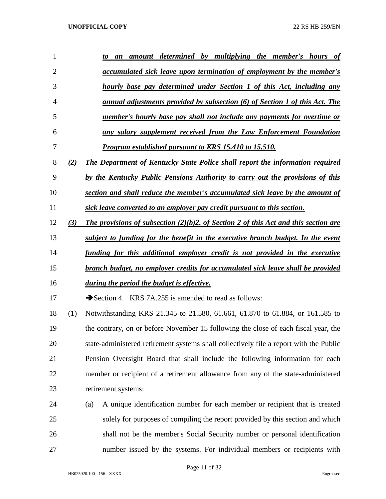| 1  |     | amount determined by multiplying the member's hours of<br>to<br>an                     |  |  |  |  |  |  |  |
|----|-----|----------------------------------------------------------------------------------------|--|--|--|--|--|--|--|
| 2  |     | <u>accumulated sick leave upon termination of employment by the member's</u>           |  |  |  |  |  |  |  |
| 3  |     | hourly base pay determined under Section 1 of this Act, including any                  |  |  |  |  |  |  |  |
| 4  |     | annual adjustments provided by subsection (6) of Section 1 of this Act. The            |  |  |  |  |  |  |  |
| 5  |     | member's hourly base pay shall not include any payments for overtime or                |  |  |  |  |  |  |  |
| 6  |     | any salary supplement received from the Law Enforcement Foundation                     |  |  |  |  |  |  |  |
| 7  |     | <b>Program established pursuant to KRS 15.410 to 15.510.</b>                           |  |  |  |  |  |  |  |
| 8  | (2) | The Department of Kentucky State Police shall report the information required          |  |  |  |  |  |  |  |
| 9  |     | by the Kentucky Public Pensions Authority to carry out the provisions of this          |  |  |  |  |  |  |  |
| 10 |     | section and shall reduce the member's accumulated sick leave by the amount of          |  |  |  |  |  |  |  |
| 11 |     | sick leave converted to an employer pay credit pursuant to this section.               |  |  |  |  |  |  |  |
| 12 | (3) | The provisions of subsection $(2)(b)$ . Of Section 2 of this Act and this section are  |  |  |  |  |  |  |  |
| 13 |     | subject to funding for the benefit in the executive branch budget. In the event        |  |  |  |  |  |  |  |
| 14 |     | funding for this additional employer credit is not provided in the executive           |  |  |  |  |  |  |  |
| 15 |     | branch budget, no employer credits for accumulated sick leave shall be provided        |  |  |  |  |  |  |  |
| 16 |     | during the period the budget is effective.                                             |  |  |  |  |  |  |  |
| 17 |     | Section 4. KRS 7A.255 is amended to read as follows:                                   |  |  |  |  |  |  |  |
| 18 | (1) | Notwithstanding KRS 21.345 to 21.580, 61.661, 61.870 to 61.884, or 161.585 to          |  |  |  |  |  |  |  |
| 19 |     | the contrary, on or before November 15 following the close of each fiscal year, the    |  |  |  |  |  |  |  |
| 20 |     | state-administered retirement systems shall collectively file a report with the Public |  |  |  |  |  |  |  |
| 21 |     | Pension Oversight Board that shall include the following information for each          |  |  |  |  |  |  |  |
| 22 |     | member or recipient of a retirement allowance from any of the state-administered       |  |  |  |  |  |  |  |
| 23 |     | retirement systems:                                                                    |  |  |  |  |  |  |  |
| 24 |     | A unique identification number for each member or recipient that is created<br>(a)     |  |  |  |  |  |  |  |
| 25 |     | solely for purposes of compiling the report provided by this section and which         |  |  |  |  |  |  |  |
| 26 |     | shall not be the member's Social Security number or personal identification            |  |  |  |  |  |  |  |
| 27 |     | number issued by the systems. For individual members or recipients with                |  |  |  |  |  |  |  |

Page 11 of 32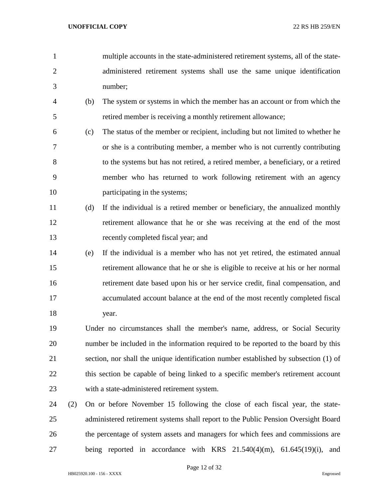- multiple accounts in the state-administered retirement systems, all of the state- administered retirement systems shall use the same unique identification number;
- (b) The system or systems in which the member has an account or from which the retired member is receiving a monthly retirement allowance;
- (c) The status of the member or recipient, including but not limited to whether he or she is a contributing member, a member who is not currently contributing to the systems but has not retired, a retired member, a beneficiary, or a retired member who has returned to work following retirement with an agency 10 participating in the systems;
- (d) If the individual is a retired member or beneficiary, the annualized monthly retirement allowance that he or she was receiving at the end of the most recently completed fiscal year; and
- (e) If the individual is a member who has not yet retired, the estimated annual retirement allowance that he or she is eligible to receive at his or her normal retirement date based upon his or her service credit, final compensation, and accumulated account balance at the end of the most recently completed fiscal 18 year.
- Under no circumstances shall the member's name, address, or Social Security number be included in the information required to be reported to the board by this section, nor shall the unique identification number established by subsection (1) of 22 this section be capable of being linked to a specific member's retirement account with a state-administered retirement system.
- (2) On or before November 15 following the close of each fiscal year, the state- administered retirement systems shall report to the Public Pension Oversight Board the percentage of system assets and managers for which fees and commissions are being reported in accordance with KRS 21.540(4)(m), 61.645(19)(i), and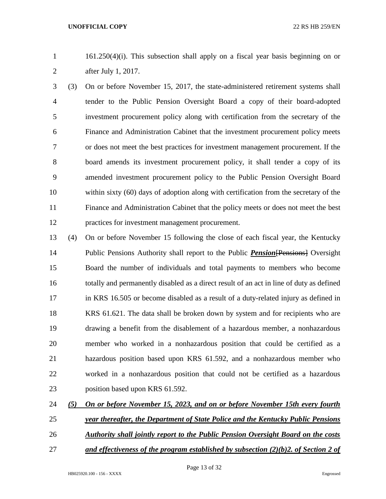161.250(4)(i). This subsection shall apply on a fiscal year basis beginning on or after July 1, 2017.

 (3) On or before November 15, 2017, the state-administered retirement systems shall tender to the Public Pension Oversight Board a copy of their board-adopted investment procurement policy along with certification from the secretary of the Finance and Administration Cabinet that the investment procurement policy meets or does not meet the best practices for investment management procurement. If the board amends its investment procurement policy, it shall tender a copy of its amended investment procurement policy to the Public Pension Oversight Board within sixty (60) days of adoption along with certification from the secretary of the Finance and Administration Cabinet that the policy meets or does not meet the best practices for investment management procurement.

 (4) On or before November 15 following the close of each fiscal year, the Kentucky Public Pensions Authority shall report to the Public *Pension*[Pensions] Oversight Board the number of individuals and total payments to members who become totally and permanently disabled as a direct result of an act in line of duty as defined in KRS 16.505 or become disabled as a result of a duty-related injury as defined in KRS 61.621. The data shall be broken down by system and for recipients who are drawing a benefit from the disablement of a hazardous member, a nonhazardous member who worked in a nonhazardous position that could be certified as a hazardous position based upon KRS 61.592, and a nonhazardous member who worked in a nonhazardous position that could not be certified as a hazardous 23 position based upon KRS 61.592.

*(5) On or before November 15, 2023, and on or before November 15th every fourth* 

- *year thereafter, the Department of State Police and the Kentucky Public Pensions*
- *Authority shall jointly report to the Public Pension Oversight Board on the costs*
- 
- *and effectiveness of the program established by subsection (2)(b)2. of Section 2 of*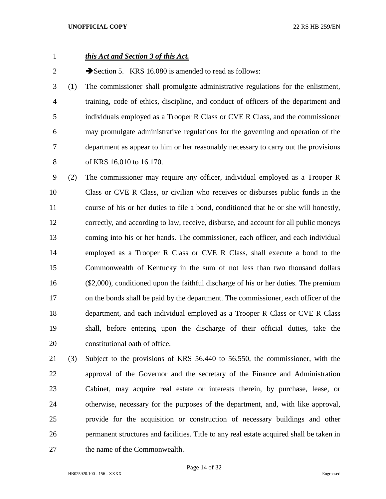# *this Act and Section 3 of this Act.*

2 Section 5. KRS 16.080 is amended to read as follows:

 (1) The commissioner shall promulgate administrative regulations for the enlistment, training, code of ethics, discipline, and conduct of officers of the department and individuals employed as a Trooper R Class or CVE R Class, and the commissioner may promulgate administrative regulations for the governing and operation of the department as appear to him or her reasonably necessary to carry out the provisions of KRS 16.010 to 16.170.

 (2) The commissioner may require any officer, individual employed as a Trooper R Class or CVE R Class, or civilian who receives or disburses public funds in the course of his or her duties to file a bond, conditioned that he or she will honestly, correctly, and according to law, receive, disburse, and account for all public moneys coming into his or her hands. The commissioner, each officer, and each individual employed as a Trooper R Class or CVE R Class, shall execute a bond to the Commonwealth of Kentucky in the sum of not less than two thousand dollars (\$2,000), conditioned upon the faithful discharge of his or her duties. The premium on the bonds shall be paid by the department. The commissioner, each officer of the department, and each individual employed as a Trooper R Class or CVE R Class shall, before entering upon the discharge of their official duties, take the constitutional oath of office.

 (3) Subject to the provisions of KRS 56.440 to 56.550, the commissioner, with the approval of the Governor and the secretary of the Finance and Administration Cabinet, may acquire real estate or interests therein, by purchase, lease, or otherwise, necessary for the purposes of the department, and, with like approval, provide for the acquisition or construction of necessary buildings and other permanent structures and facilities. Title to any real estate acquired shall be taken in the name of the Commonwealth.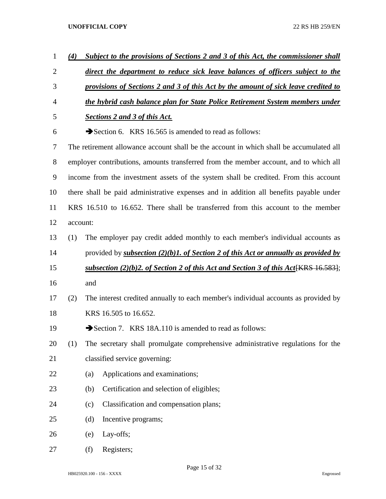| $\mathbf{1}$   | (4)                                                                                |     | Subject to the provisions of Sections 2 and 3 of this Act, the commissioner shall           |  |  |  |  |
|----------------|------------------------------------------------------------------------------------|-----|---------------------------------------------------------------------------------------------|--|--|--|--|
| $\overline{2}$ |                                                                                    |     | direct the department to reduce sick leave balances of officers subject to the              |  |  |  |  |
| 3              | provisions of Sections 2 and 3 of this Act by the amount of sick leave credited to |     |                                                                                             |  |  |  |  |
| $\overline{4}$ |                                                                                    |     | the hybrid cash balance plan for State Police Retirement System members under               |  |  |  |  |
| 5              |                                                                                    |     | <b>Sections 2 and 3 of this Act.</b>                                                        |  |  |  |  |
| 6              |                                                                                    |     | Section 6. KRS 16.565 is amended to read as follows:                                        |  |  |  |  |
| 7              |                                                                                    |     | The retirement allowance account shall be the account in which shall be accumulated all     |  |  |  |  |
| 8              |                                                                                    |     | employer contributions, amounts transferred from the member account, and to which all       |  |  |  |  |
| 9              |                                                                                    |     | income from the investment assets of the system shall be credited. From this account        |  |  |  |  |
| 10             |                                                                                    |     | there shall be paid administrative expenses and in addition all benefits payable under      |  |  |  |  |
| 11             |                                                                                    |     | KRS 16.510 to 16.652. There shall be transferred from this account to the member            |  |  |  |  |
| 12             | account:                                                                           |     |                                                                                             |  |  |  |  |
| 13             | (1)                                                                                |     | The employer pay credit added monthly to each member's individual accounts as               |  |  |  |  |
| 14             |                                                                                    |     | provided by subsection $(2)(b)$ 1. of Section 2 of this Act or annually as provided by      |  |  |  |  |
| 15             |                                                                                    |     | <u>subsection (2)(b)2. of Section 2 of this Act and Section 3 of this Act[KRS 16.583]</u> ; |  |  |  |  |
| 16             |                                                                                    | and |                                                                                             |  |  |  |  |
| 17             | (2)                                                                                |     | The interest credited annually to each member's individual accounts as provided by          |  |  |  |  |
| 18             |                                                                                    |     | KRS 16.505 to 16.652.                                                                       |  |  |  |  |
| 19             |                                                                                    |     | Section 7. KRS 18A.110 is amended to read as follows:                                       |  |  |  |  |
| 20             | (1)                                                                                |     | The secretary shall promulgate comprehensive administrative regulations for the             |  |  |  |  |
| 21             |                                                                                    |     | classified service governing:                                                               |  |  |  |  |
| 22             |                                                                                    | (a) | Applications and examinations;                                                              |  |  |  |  |
| 23             |                                                                                    | (b) | Certification and selection of eligibles;                                                   |  |  |  |  |
| 24             |                                                                                    | (c) | Classification and compensation plans;                                                      |  |  |  |  |
| 25             |                                                                                    | (d) | Incentive programs;                                                                         |  |  |  |  |
| 26             |                                                                                    | (e) | Lay-offs;                                                                                   |  |  |  |  |
| 27             |                                                                                    | (f) | Registers;                                                                                  |  |  |  |  |

Page 15 of 32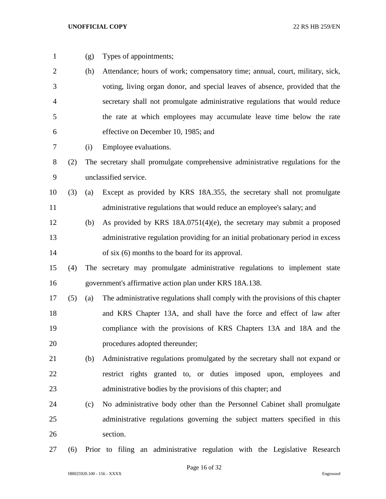- 
- (g) Types of appointments;
- (h) Attendance; hours of work; compensatory time; annual, court, military, sick, voting, living organ donor, and special leaves of absence, provided that the secretary shall not promulgate administrative regulations that would reduce the rate at which employees may accumulate leave time below the rate effective on December 10, 1985; and
- (i) Employee evaluations.
- (2) The secretary shall promulgate comprehensive administrative regulations for the unclassified service.
- (3) (a) Except as provided by KRS 18A.355, the secretary shall not promulgate 11 administrative regulations that would reduce an employee's salary; and
- (b) As provided by KRS 18A.0751(4)(e), the secretary may submit a proposed administrative regulation providing for an initial probationary period in excess of six (6) months to the board for its approval.
- (4) The secretary may promulgate administrative regulations to implement state government's affirmative action plan under KRS 18A.138.
- (5) (a) The administrative regulations shall comply with the provisions of this chapter and KRS Chapter 13A, and shall have the force and effect of law after compliance with the provisions of KRS Chapters 13A and 18A and the procedures adopted thereunder;
- (b) Administrative regulations promulgated by the secretary shall not expand or restrict rights granted to, or duties imposed upon, employees and administrative bodies by the provisions of this chapter; and
- (c) No administrative body other than the Personnel Cabinet shall promulgate administrative regulations governing the subject matters specified in this section.
- (6) Prior to filing an administrative regulation with the Legislative Research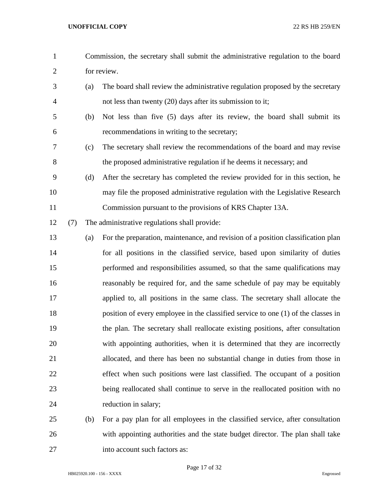- Commission, the secretary shall submit the administrative regulation to the board for review. (a) The board shall review the administrative regulation proposed by the secretary not less than twenty (20) days after its submission to it; (b) Not less than five (5) days after its review, the board shall submit its recommendations in writing to the secretary; (c) The secretary shall review the recommendations of the board and may revise the proposed administrative regulation if he deems it necessary; and (d) After the secretary has completed the review provided for in this section, he may file the proposed administrative regulation with the Legislative Research Commission pursuant to the provisions of KRS Chapter 13A. (7) The administrative regulations shall provide: (a) For the preparation, maintenance, and revision of a position classification plan for all positions in the classified service, based upon similarity of duties performed and responsibilities assumed, so that the same qualifications may reasonably be required for, and the same schedule of pay may be equitably applied to, all positions in the same class. The secretary shall allocate the position of every employee in the classified service to one (1) of the classes in the plan. The secretary shall reallocate existing positions, after consultation with appointing authorities, when it is determined that they are incorrectly allocated, and there has been no substantial change in duties from those in effect when such positions were last classified. The occupant of a position being reallocated shall continue to serve in the reallocated position with no 24 reduction in salary; (b) For a pay plan for all employees in the classified service, after consultation with appointing authorities and the state budget director. The plan shall take
- into account such factors as:

HB025920.100 - 156 - XXXX Engrossed

Page 17 of 32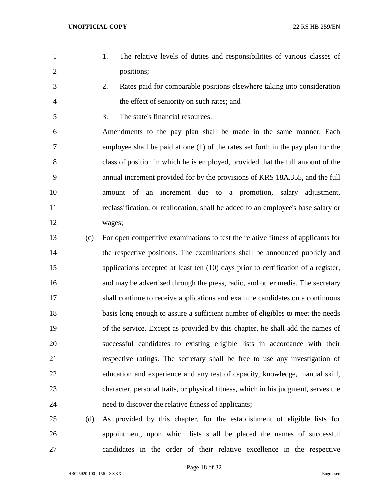- 
- 1. The relative levels of duties and responsibilities of various classes of positions;
- 2. Rates paid for comparable positions elsewhere taking into consideration the effect of seniority on such rates; and
- 3. The state's financial resources.

 Amendments to the pay plan shall be made in the same manner. Each employee shall be paid at one (1) of the rates set forth in the pay plan for the class of position in which he is employed, provided that the full amount of the annual increment provided for by the provisions of KRS 18A.355, and the full amount of an increment due to a promotion, salary adjustment, reclassification, or reallocation, shall be added to an employee's base salary or wages;

 (c) For open competitive examinations to test the relative fitness of applicants for the respective positions. The examinations shall be announced publicly and applications accepted at least ten (10) days prior to certification of a register, and may be advertised through the press, radio, and other media. The secretary shall continue to receive applications and examine candidates on a continuous basis long enough to assure a sufficient number of eligibles to meet the needs of the service. Except as provided by this chapter, he shall add the names of successful candidates to existing eligible lists in accordance with their respective ratings. The secretary shall be free to use any investigation of education and experience and any test of capacity, knowledge, manual skill, character, personal traits, or physical fitness, which in his judgment, serves the need to discover the relative fitness of applicants;

 (d) As provided by this chapter, for the establishment of eligible lists for appointment, upon which lists shall be placed the names of successful candidates in the order of their relative excellence in the respective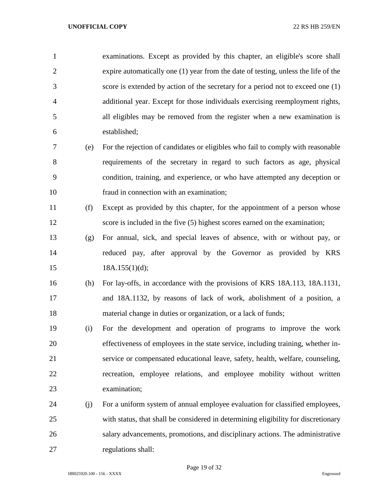examinations. Except as provided by this chapter, an eligible's score shall expire automatically one (1) year from the date of testing, unless the life of the score is extended by action of the secretary for a period not to exceed one (1) additional year. Except for those individuals exercising reemployment rights, all eligibles may be removed from the register when a new examination is established;

- (e) For the rejection of candidates or eligibles who fail to comply with reasonable requirements of the secretary in regard to such factors as age, physical condition, training, and experience, or who have attempted any deception or fraud in connection with an examination;
- (f) Except as provided by this chapter, for the appointment of a person whose score is included in the five (5) highest scores earned on the examination;
- (g) For annual, sick, and special leaves of absence, with or without pay, or reduced pay, after approval by the Governor as provided by KRS 15 18A.155(1)(d);
- (h) For lay-offs, in accordance with the provisions of KRS 18A.113, 18A.1131, and 18A.1132, by reasons of lack of work, abolishment of a position, a material change in duties or organization, or a lack of funds;
- (i) For the development and operation of programs to improve the work effectiveness of employees in the state service, including training, whether in- service or compensated educational leave, safety, health, welfare, counseling, recreation, employee relations, and employee mobility without written examination;
- (j) For a uniform system of annual employee evaluation for classified employees, with status, that shall be considered in determining eligibility for discretionary salary advancements, promotions, and disciplinary actions. The administrative regulations shall:

Page 19 of 32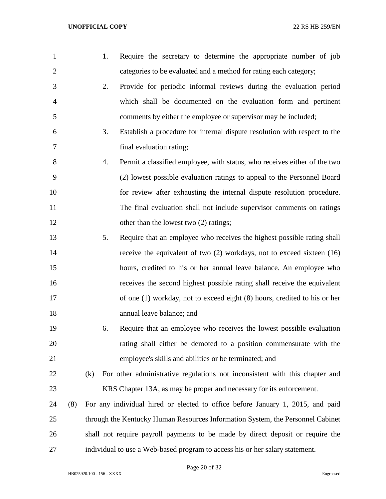| 1              |     |     | 1. | Require the secretary to determine the appropriate number of job               |
|----------------|-----|-----|----|--------------------------------------------------------------------------------|
| $\overline{2}$ |     |     |    | categories to be evaluated and a method for rating each category;              |
| 3              |     |     | 2. | Provide for periodic informal reviews during the evaluation period             |
| $\overline{4}$ |     |     |    | which shall be documented on the evaluation form and pertinent                 |
| 5              |     |     |    | comments by either the employee or supervisor may be included;                 |
| 6              |     |     | 3. | Establish a procedure for internal dispute resolution with respect to the      |
| 7              |     |     |    | final evaluation rating;                                                       |
| 8              |     |     | 4. | Permit a classified employee, with status, who receives either of the two      |
| 9              |     |     |    | (2) lowest possible evaluation ratings to appeal to the Personnel Board        |
| 10             |     |     |    | for review after exhausting the internal dispute resolution procedure.         |
| 11             |     |     |    | The final evaluation shall not include supervisor comments on ratings          |
| 12             |     |     |    | other than the lowest two (2) ratings;                                         |
| 13             |     |     | 5. | Require that an employee who receives the highest possible rating shall        |
| 14             |     |     |    | receive the equivalent of two $(2)$ workdays, not to exceed sixteen $(16)$     |
| 15             |     |     |    | hours, credited to his or her annual leave balance. An employee who            |
| 16             |     |     |    | receives the second highest possible rating shall receive the equivalent       |
| 17             |     |     |    | of one (1) workday, not to exceed eight (8) hours, credited to his or her      |
| 18             |     |     |    | annual leave balance; and                                                      |
| 19             |     |     | 6. | Require that an employee who receives the lowest possible evaluation           |
| 20             |     |     |    | rating shall either be demoted to a position commensurate with the             |
| 21             |     |     |    | employee's skills and abilities or be terminated; and                          |
| 22             |     | (k) |    | For other administrative regulations not inconsistent with this chapter and    |
| 23             |     |     |    | KRS Chapter 13A, as may be proper and necessary for its enforcement.           |
| 24             | (8) |     |    | For any individual hired or elected to office before January 1, 2015, and paid |
| 25             |     |     |    | through the Kentucky Human Resources Information System, the Personnel Cabinet |
| 26             |     |     |    | shall not require payroll payments to be made by direct deposit or require the |
| 27             |     |     |    | individual to use a Web-based program to access his or her salary statement.   |

Page 20 of 32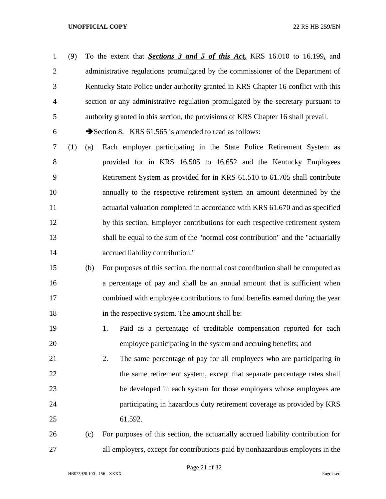(9) To the extent that *Sections 3 and 5 of this Act,* KRS 16.010 to 16.199*,* and 2 administrative regulations promulgated by the commissioner of the Department of Kentucky State Police under authority granted in KRS Chapter 16 conflict with this section or any administrative regulation promulgated by the secretary pursuant to authority granted in this section, the provisions of KRS Chapter 16 shall prevail.

6  $\rightarrow$  Section 8. KRS 61.565 is amended to read as follows:

 (1) (a) Each employer participating in the State Police Retirement System as provided for in KRS 16.505 to 16.652 and the Kentucky Employees Retirement System as provided for in KRS 61.510 to 61.705 shall contribute annually to the respective retirement system an amount determined by the actuarial valuation completed in accordance with KRS 61.670 and as specified 12 by this section. Employer contributions for each respective retirement system shall be equal to the sum of the "normal cost contribution" and the "actuarially **accrued liability contribution.**"

 (b) For purposes of this section, the normal cost contribution shall be computed as a percentage of pay and shall be an annual amount that is sufficient when combined with employee contributions to fund benefits earned during the year 18 in the respective system. The amount shall be:

 1. Paid as a percentage of creditable compensation reported for each employee participating in the system and accruing benefits; and

 2. The same percentage of pay for all employees who are participating in 22 the same retirement system, except that separate percentage rates shall be developed in each system for those employers whose employees are participating in hazardous duty retirement coverage as provided by KRS 61.592.

# (c) For purposes of this section, the actuarially accrued liability contribution for all employers, except for contributions paid by nonhazardous employers in the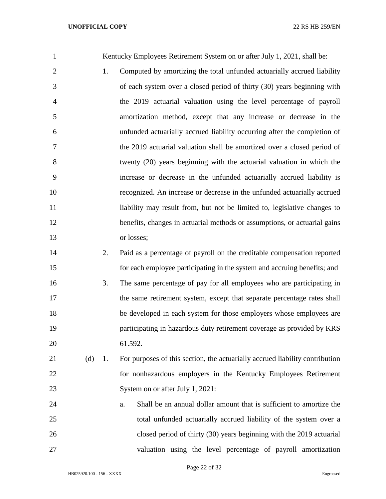| $\mathbf{1}$   |     |    | Kentucky Employees Retirement System on or after July 1, 2021, shall be:     |
|----------------|-----|----|------------------------------------------------------------------------------|
| $\overline{2}$ |     | 1. | Computed by amortizing the total unfunded actuarially accrued liability      |
| 3              |     |    | of each system over a closed period of thirty (30) years beginning with      |
| $\overline{4}$ |     |    | the 2019 actuarial valuation using the level percentage of payroll           |
| 5              |     |    | amortization method, except that any increase or decrease in the             |
| 6              |     |    | unfunded actuarially accrued liability occurring after the completion of     |
| 7              |     |    | the 2019 actuarial valuation shall be amortized over a closed period of      |
| 8              |     |    | twenty (20) years beginning with the actuarial valuation in which the        |
| 9              |     |    | increase or decrease in the unfunded actuarially accrued liability is        |
| 10             |     |    | recognized. An increase or decrease in the unfunded actuarially accrued      |
| 11             |     |    | liability may result from, but not be limited to, legislative changes to     |
| 12             |     |    | benefits, changes in actuarial methods or assumptions, or actuarial gains    |
| 13             |     |    | or losses;                                                                   |
| 14             |     | 2. | Paid as a percentage of payroll on the creditable compensation reported      |
| 15             |     |    | for each employee participating in the system and accruing benefits; and     |
| 16             |     | 3. | The same percentage of pay for all employees who are participating in        |
| 17             |     |    | the same retirement system, except that separate percentage rates shall      |
| 18             |     |    | be developed in each system for those employers whose employees are          |
| 19             |     |    | participating in hazardous duty retirement coverage as provided by KRS       |
| 20             |     |    | 61.592.                                                                      |
| 21             | (d) | 1. | For purposes of this section, the actuarially accrued liability contribution |
| 22             |     |    | for nonhazardous employers in the Kentucky Employees Retirement              |
| 23             |     |    | System on or after July 1, 2021:                                             |
| 24             |     |    | Shall be an annual dollar amount that is sufficient to amortize the<br>a.    |
| 25             |     |    | total unfunded actuarially accrued liability of the system over a            |
| 26             |     |    | closed period of thirty (30) years beginning with the 2019 actuarial         |
| 27             |     |    | valuation using the level percentage of payroll amortization                 |

Page 22 of 32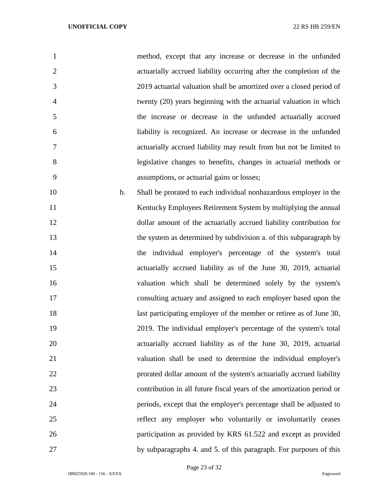| $\mathbf{1}$   | method, except that any increase or decrease in the unfunded          |
|----------------|-----------------------------------------------------------------------|
| $\overline{2}$ | actuarially accrued liability occurring after the completion of the   |
| 3              | 2019 actuarial valuation shall be amortized over a closed period of   |
| $\overline{4}$ | twenty (20) years beginning with the actuarial valuation in which     |
| 5              | the increase or decrease in the unfunded actuarially accrued          |
| 6              | liability is recognized. An increase or decrease in the unfunded      |
| 7              | actuarially accrued liability may result from but not be limited to   |
| 8              | legislative changes to benefits, changes in actuarial methods or      |
| 9              | assumptions, or actuarial gains or losses;                            |
| 10<br>b.       | Shall be prorated to each individual nonhazardous employer in the     |
| 11             | Kentucky Employees Retirement System by multiplying the annual        |
| 12             | dollar amount of the actuarially accrued liability contribution for   |
| 13             | the system as determined by subdivision a. of this subparagraph by    |
| 14             | the individual employer's percentage of the system's total            |
| 15             | actuarially accrued liability as of the June 30, 2019, actuarial      |
| 16             | valuation which shall be determined solely by the system's            |
| 17             | consulting actuary and assigned to each employer based upon the       |
| 18             | last participating employer of the member or retiree as of June 30,   |
| 19             | 2019. The individual employer's percentage of the system's total      |
| 20             | actuarially accrued liability as of the June 30, 2019, actuarial      |
| 21             | valuation shall be used to determine the individual employer's        |
| 22             | prorated dollar amount of the system's actuarially accrued liability  |
| 23             | contribution in all future fiscal years of the amortization period or |
| 24             | periods, except that the employer's percentage shall be adjusted to   |
| 25             | reflect any employer who voluntarily or involuntarily ceases          |

by subparagraphs 4. and 5. of this paragraph. For purposes of this

Page 23 of 32

participation as provided by KRS 61.522 and except as provided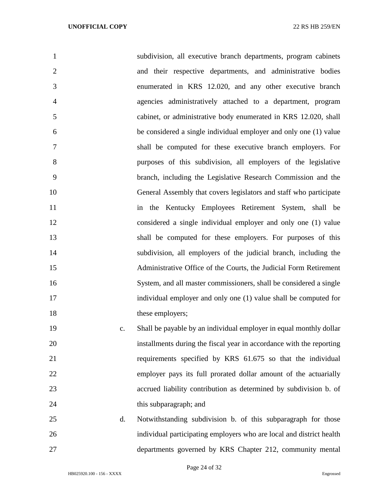| $\mathbf{1}$        | subdivision, all executive branch departments, program cabinets      |
|---------------------|----------------------------------------------------------------------|
| $\overline{2}$      | and their respective departments, and administrative bodies          |
| 3                   | enumerated in KRS 12.020, and any other executive branch             |
| $\overline{4}$      | agencies administratively attached to a department, program          |
| 5                   | cabinet, or administrative body enumerated in KRS 12.020, shall      |
| 6                   | be considered a single individual employer and only one (1) value    |
| $\overline{7}$      | shall be computed for these executive branch employers. For          |
| 8                   | purposes of this subdivision, all employers of the legislative       |
| 9                   | branch, including the Legislative Research Commission and the        |
| 10                  | General Assembly that covers legislators and staff who participate   |
| 11                  | in the Kentucky Employees Retirement System, shall be                |
| 12                  | considered a single individual employer and only one (1) value       |
| 13                  | shall be computed for these employers. For purposes of this          |
| 14                  | subdivision, all employers of the judicial branch, including the     |
| 15                  | Administrative Office of the Courts, the Judicial Form Retirement    |
| 16                  | System, and all master commissioners, shall be considered a single   |
| 17                  | individual employer and only one (1) value shall be computed for     |
| 18                  | these employers;                                                     |
| 19<br>$C_{\bullet}$ | Shall be payable by an individual employer in equal monthly dollar   |
| 20                  | installments during the fiscal year in accordance with the reporting |

 requirements specified by KRS 61.675 so that the individual employer pays its full prorated dollar amount of the actuarially accrued liability contribution as determined by subdivision b. of 24 this subparagraph; and

 d. Notwithstanding subdivision b. of this subparagraph for those individual participating employers who are local and district health departments governed by KRS Chapter 212, community mental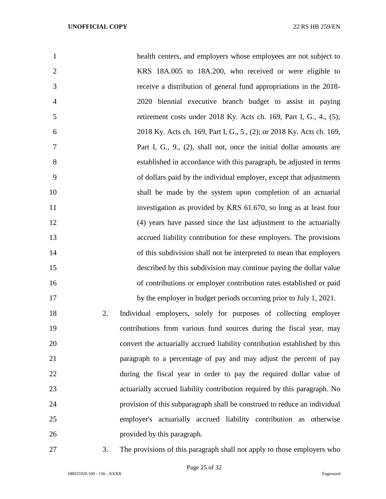| $\mathbf{1}$   |    | health centers, and employers whose employees are not subject to           |
|----------------|----|----------------------------------------------------------------------------|
| $\overline{2}$ |    | KRS 18A.005 to 18A.200, who received or were eligible to                   |
| 3              |    | receive a distribution of general fund appropriations in the 2018-         |
| $\overline{4}$ |    | 2020 biennial executive branch budget to assist in paying                  |
| 5              |    | retirement costs under 2018 Ky. Acts ch. 169, Part I, G., 4., (5);         |
| 6              |    | 2018 Ky. Acts ch. 169, Part I, G., 5., (2); or 2018 Ky. Acts ch. 169,      |
| 7              |    | Part I, G., 9., (2), shall not, once the initial dollar amounts are        |
| 8              |    | established in accordance with this paragraph, be adjusted in terms        |
| 9              |    | of dollars paid by the individual employer, except that adjustments        |
| 10             |    | shall be made by the system upon completion of an actuarial                |
| 11             |    | investigation as provided by KRS 61.670, so long as at least four          |
| 12             |    | (4) years have passed since the last adjustment to the actuarially         |
| 13             |    | accrued liability contribution for these employers. The provisions         |
| 14             |    | of this subdivision shall not be interpreted to mean that employers        |
| 15             |    | described by this subdivision may continue paying the dollar value         |
| 16             |    | of contributions or employer contribution rates established or paid        |
| 17             |    | by the employer in budget periods occurring prior to July 1, 2021.         |
| 18             | 2. | Individual employers, solely for purposes of collecting employer           |
| 19             |    | contributions from various fund sources during the fiscal year, may        |
| 20             |    | convert the actuarially accrued liability contribution established by this |
| 21             |    | paragraph to a percentage of pay and may adjust the percent of pay         |
| 22             |    | during the fiscal year in order to pay the required dollar value of        |
| 23             |    | actuarially accrued liability contribution required by this paragraph. No  |
| 24             |    | provision of this subparagraph shall be construed to reduce an individual  |
| 25             |    | employer's actuarially accrued liability contribution as otherwise         |
| 26             |    | provided by this paragraph.                                                |

3. The provisions of this paragraph shall not apply to those employers who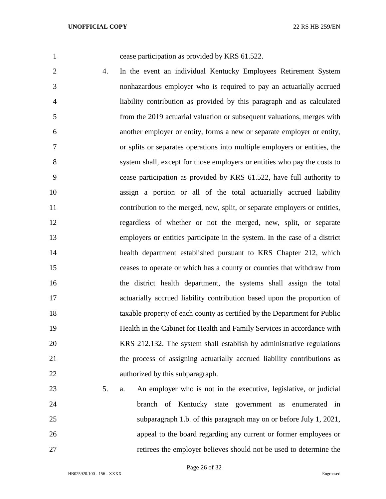cease participation as provided by KRS 61.522.

- 4. In the event an individual Kentucky Employees Retirement System nonhazardous employer who is required to pay an actuarially accrued liability contribution as provided by this paragraph and as calculated from the 2019 actuarial valuation or subsequent valuations, merges with another employer or entity, forms a new or separate employer or entity, or splits or separates operations into multiple employers or entities, the system shall, except for those employers or entities who pay the costs to cease participation as provided by KRS 61.522, have full authority to assign a portion or all of the total actuarially accrued liability contribution to the merged, new, split, or separate employers or entities, regardless of whether or not the merged, new, split, or separate employers or entities participate in the system. In the case of a district health department established pursuant to KRS Chapter 212, which ceases to operate or which has a county or counties that withdraw from the district health department, the systems shall assign the total actuarially accrued liability contribution based upon the proportion of taxable property of each county as certified by the Department for Public Health in the Cabinet for Health and Family Services in accordance with KRS 212.132. The system shall establish by administrative regulations the process of assigning actuarially accrued liability contributions as authorized by this subparagraph.
- 5. a. An employer who is not in the executive, legislative, or judicial branch of Kentucky state government as enumerated in subparagraph 1.b. of this paragraph may on or before July 1, 2021, appeal to the board regarding any current or former employees or retirees the employer believes should not be used to determine the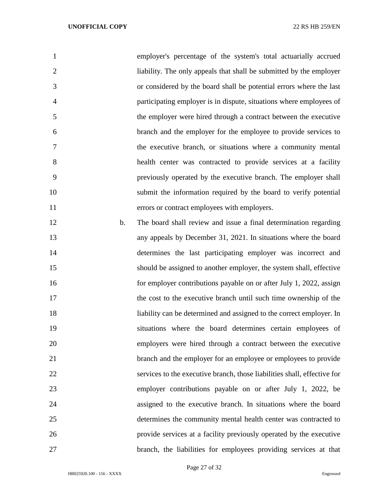| $\mathbf{1}$        | employer's percentage of the system's total actuarially accrued          |
|---------------------|--------------------------------------------------------------------------|
| $\overline{2}$      | liability. The only appeals that shall be submitted by the employer      |
| 3                   | or considered by the board shall be potential errors where the last      |
| $\overline{4}$      | participating employer is in dispute, situations where employees of      |
| 5                   | the employer were hired through a contract between the executive         |
| 6                   | branch and the employer for the employee to provide services to          |
| $\overline{7}$      | the executive branch, or situations where a community mental             |
| 8                   | health center was contracted to provide services at a facility           |
| 9                   | previously operated by the executive branch. The employer shall          |
| 10                  | submit the information required by the board to verify potential         |
| 11                  | errors or contract employees with employers.                             |
| 12<br>$\mathbf b$ . | The board shall review and issue a final determination regarding         |
| 13                  | any appeals by December 31, 2021. In situations where the board          |
| 14                  | determines the last participating employer was incorrect and             |
| 15                  | should be assigned to another employer, the system shall, effective      |
| 16                  | for employer contributions payable on or after July 1, 2022, assign      |
| 17                  | the cost to the executive branch until such time ownership of the        |
| 18                  | liability can be determined and assigned to the correct employer. In     |
| 19                  | situations where the board determines certain employees of               |
| 20                  | employers were hired through a contract between the executive            |
| 21                  | branch and the employer for an employee or employees to provide          |
| 22                  | services to the executive branch, those liabilities shall, effective for |
| 23                  | employer contributions payable on or after July 1, 2022, be              |
| 24                  | assigned to the executive branch. In situations where the board          |
| 25                  | determines the community mental health center was contracted to          |
| 26                  | provide services at a facility previously operated by the executive      |
| 27                  | branch, the liabilities for employees providing services at that         |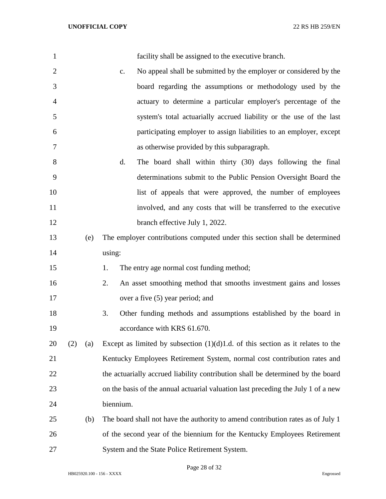| $\mathbf{1}$   |     |     |           | facility shall be assigned to the executive branch.                               |
|----------------|-----|-----|-----------|-----------------------------------------------------------------------------------|
| $\overline{2}$ |     |     | c.        | No appeal shall be submitted by the employer or considered by the                 |
| 3              |     |     |           | board regarding the assumptions or methodology used by the                        |
| $\overline{4}$ |     |     |           | actuary to determine a particular employer's percentage of the                    |
| 5              |     |     |           | system's total actuarially accrued liability or the use of the last               |
| 6              |     |     |           | participating employer to assign liabilities to an employer, except               |
| 7              |     |     |           | as otherwise provided by this subparagraph.                                       |
| 8              |     |     | d.        | The board shall within thirty (30) days following the final                       |
| 9              |     |     |           | determinations submit to the Public Pension Oversight Board the                   |
| 10             |     |     |           | list of appeals that were approved, the number of employees                       |
| 11             |     |     |           | involved, and any costs that will be transferred to the executive                 |
| 12             |     |     |           | branch effective July 1, 2022.                                                    |
| 13             |     | (e) |           | The employer contributions computed under this section shall be determined        |
| 14             |     |     | using:    |                                                                                   |
| 15             |     |     | 1.        | The entry age normal cost funding method;                                         |
| 16             |     |     | 2.        | An asset smoothing method that smooths investment gains and losses                |
| 17             |     |     |           | over a five (5) year period; and                                                  |
| 18             |     |     | 3.        | Other funding methods and assumptions established by the board in                 |
| 19             |     |     |           | accordance with KRS 61.670.                                                       |
| 20             | (2) | (a) |           | Except as limited by subsection $(1)(d)1.d.$ of this section as it relates to the |
| 21             |     |     |           | Kentucky Employees Retirement System, normal cost contribution rates and          |
| 22             |     |     |           | the actuarially accrued liability contribution shall be determined by the board   |
| 23             |     |     |           | on the basis of the annual actuarial valuation last preceding the July 1 of a new |
| 24             |     |     | biennium. |                                                                                   |
| 25             |     | (b) |           | The board shall not have the authority to amend contribution rates as of July 1   |
| 26             |     |     |           | of the second year of the biennium for the Kentucky Employees Retirement          |
| 27             |     |     |           | System and the State Police Retirement System.                                    |

Page 28 of 32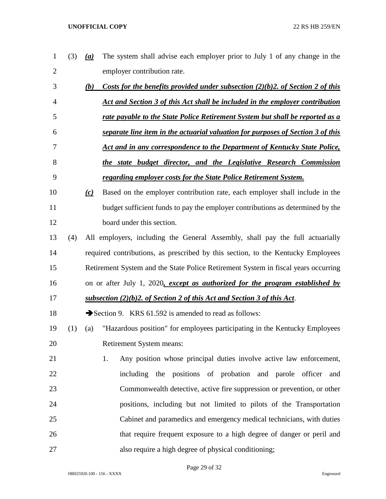| 1              | (3) | The system shall advise each employer prior to July 1 of any change in the<br>(a)        |
|----------------|-----|------------------------------------------------------------------------------------------|
| $\overline{2}$ |     | employer contribution rate.                                                              |
| 3              |     | Costs for the benefits provided under subsection $(2)(b)2$ , of Section 2 of this<br>(b) |
| 4              |     | Act and Section 3 of this Act shall be included in the employer contribution             |
| 5              |     | rate payable to the State Police Retirement System but shall be reported as a            |
| 6              |     | separate line item in the actuarial valuation for purposes of Section 3 of this          |
| 7              |     | <u>Act and in any correspondence to the Department of Kentucky State Police,</u>         |
| 8              |     | the state budget director, and the Legislative Research Commission                       |
| 9              |     | regarding employer costs for the State Police Retirement System.                         |
| 10             |     | Based on the employer contribution rate, each employer shall include in the<br>(c)       |
| 11             |     | budget sufficient funds to pay the employer contributions as determined by the           |
| 12             |     | board under this section.                                                                |
| 13             | (4) | All employers, including the General Assembly, shall pay the full actuarially            |
| 14             |     | required contributions, as prescribed by this section, to the Kentucky Employees         |
| 15             |     | Retirement System and the State Police Retirement System in fiscal years occurring       |
| 16             |     | on or after July 1, 2020, except as authorized for the program established by            |
| 17             |     | subsection (2)(b)2. of Section 2 of this Act and Section 3 of this Act.                  |
| 18             |     | Section 9. KRS 61.592 is amended to read as follows:                                     |
| 19             | (1) | "Hazardous position" for employees participating in the Kentucky Employees<br>(a)        |
| 20             |     | Retirement System means:                                                                 |
| 21             |     | Any position whose principal duties involve active law enforcement,<br>1.                |
| 22             |     | including the positions of probation and parole officer<br>and                           |
| 23             |     | Commonwealth detective, active fire suppression or prevention, or other                  |
| 24             |     | positions, including but not limited to pilots of the Transportation                     |
| 25             |     | Cabinet and paramedics and emergency medical technicians, with duties                    |
| 26             |     | that require frequent exposure to a high degree of danger or peril and                   |
| 27             |     | also require a high degree of physical conditioning;                                     |

Page 29 of 32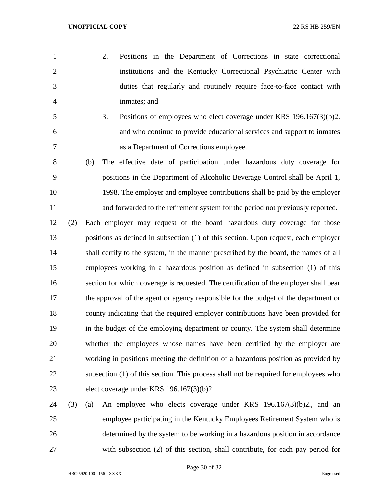- 2. Positions in the Department of Corrections in state correctional institutions and the Kentucky Correctional Psychiatric Center with duties that regularly and routinely require face-to-face contact with inmates; and
- 3. Positions of employees who elect coverage under KRS 196.167(3)(b)2. and who continue to provide educational services and support to inmates as a Department of Corrections employee.
- (b) The effective date of participation under hazardous duty coverage for positions in the Department of Alcoholic Beverage Control shall be April 1, 1998. The employer and employee contributions shall be paid by the employer and forwarded to the retirement system for the period not previously reported.
- (2) Each employer may request of the board hazardous duty coverage for those positions as defined in subsection (1) of this section. Upon request, each employer 14 shall certify to the system, in the manner prescribed by the board, the names of all employees working in a hazardous position as defined in subsection (1) of this section for which coverage is requested. The certification of the employer shall bear the approval of the agent or agency responsible for the budget of the department or county indicating that the required employer contributions have been provided for in the budget of the employing department or county. The system shall determine whether the employees whose names have been certified by the employer are working in positions meeting the definition of a hazardous position as provided by subsection (1) of this section. This process shall not be required for employees who elect coverage under KRS 196.167(3)(b)2.
- (3) (a) An employee who elects coverage under KRS 196.167(3)(b)2., and an employee participating in the Kentucky Employees Retirement System who is determined by the system to be working in a hazardous position in accordance with subsection (2) of this section, shall contribute, for each pay period for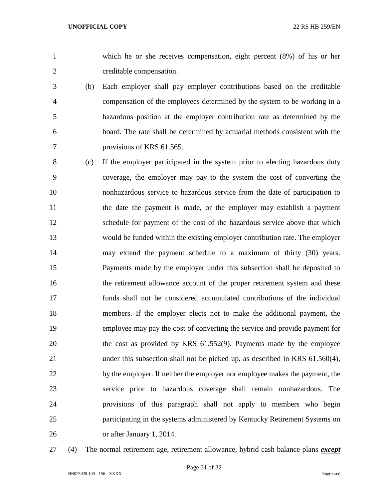which he or she receives compensation, eight percent (8%) of his or her creditable compensation.

- (b) Each employer shall pay employer contributions based on the creditable compensation of the employees determined by the system to be working in a hazardous position at the employer contribution rate as determined by the board. The rate shall be determined by actuarial methods consistent with the provisions of KRS 61.565.
- (c) If the employer participated in the system prior to electing hazardous duty coverage, the employer may pay to the system the cost of converting the nonhazardous service to hazardous service from the date of participation to the date the payment is made, or the employer may establish a payment schedule for payment of the cost of the hazardous service above that which would be funded within the existing employer contribution rate. The employer may extend the payment schedule to a maximum of thirty (30) years. Payments made by the employer under this subsection shall be deposited to the retirement allowance account of the proper retirement system and these funds shall not be considered accumulated contributions of the individual members. If the employer elects not to make the additional payment, the employee may pay the cost of converting the service and provide payment for the cost as provided by KRS 61.552(9). Payments made by the employee under this subsection shall not be picked up, as described in KRS 61.560(4), 22 by the employer. If neither the employer nor employee makes the payment, the service prior to hazardous coverage shall remain nonhazardous. The provisions of this paragraph shall not apply to members who begin participating in the systems administered by Kentucky Retirement Systems on or after January 1, 2014.
- 

(4) The normal retirement age, retirement allowance, hybrid cash balance plans *except*